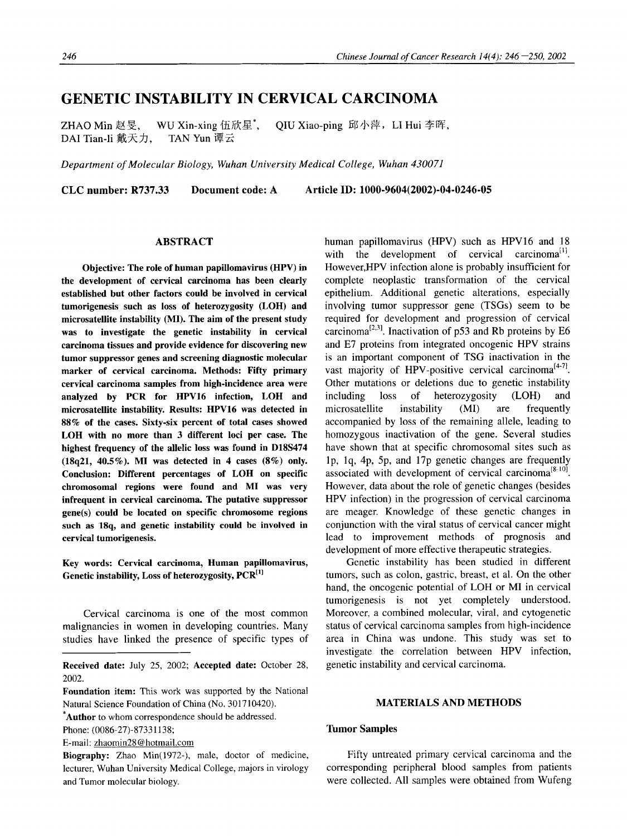# **GENETIC INSTABILITY IN CERVICAL CARCINOMA**

ZHAO Min 赵旻, WU Xin-xing 伍欣星\*, QIU Xiao-ping 邱小萍,LI Hui 李晖, DAI Tian-li 戴天力, TAN Yun 谭云

*Department of Molecular Biology, Wuhan University Medical College, Wuhan 430071* 

**CLC number: R737.33 Document code: A Article ID: 1000-9604(2002)-04-0246-05** 

### ABSTRACT

**Objective: The role of human papillomavirus** (HPV) in **the development of cervical carcinoma has been clearly established but other factors could be involved in cervical tumorigenesis such as loss of heterozygosity (LOH) and microsatellite instability (MI). The aim of the present study was to investigate the genetic instability in cervical carcinoma tissues and provide evidence for discovering new tumor suppressor genes and screening diagnostic molecular marker of cervical carcinoma. Methods: Fifty primary cervical carcinoma samples from high-incidence area were analyzed** by PCR for HPV16 infection, LOH **and microsatellite instability. Results: HPV16 was detected** in 88% **of the cases. Sixty-six percent of total cases showed**  LOH with **no more than 3 different loci per case. The highest frequency of the allelic loss was found** in D18S474 (18q21, 40.5%). MI **was detected** in 4 cases (8%) only. **Conclusion: Different percentages of LOH on specific chromosomal regions were found and MI was very infrequent in cervical carcinoma. The putative suppressor gene(s) could be located on specific chromosome regions such as 18q, and genetic instability could be involved** in **cervical tumorigenesis.** 

Key words: Cervical carcinoma, Human papillomavirus, Genetic instability, Loss of heterozygosity, PCR<sup>[1]</sup>

Cervical carcinoma is one of the most common malignancies in women in developing countries. Many studies have linked the presence of specific types of

**\*Author** to whom correspondence should be addressed.

Phone: (0086-27)-87331138;

E-mail: zhaomin28 @ hotmail.com

Biography: Zhao Min(1972-), male, doctor of medicine, lecturer, Wuhan University Medical College, majors in virology and Tumor molecular biology.

human papillomavirus (HPV) such as HPV16 and 18 with the development of cervical carcinoma<sup>[1]</sup>. However, HPV infection alone is probably insufficient for complete neoplastic transformation of the cervical epithelium. Additional genetic alterations, especially involving tumor suppressor gene (TSGs) seem to be required for development and progression of cervical carcinoma<sup>[2,3]</sup>. Inactivation of p53 and Rb proteins by E6 and E7 proteins from integrated oncogenic HPV strains is an important component of TSG inactivation in the vast majority of HPV-positive cervical carcinoma<sup> $[4-7]$ </sup>. Other mutations or deletions due to genetic instability including loss of heterozygosity (LOH) and microsatellite instability (MI) are frequently accompanied by loss of the remaining allele, leading to homozygous inactivation of the gene. Several studies have shown that at specific chromosomal sites such as lp, lq, 4p, 5p, and 17p genetic changes are frequently associated with development of cervical carcinoma<sup>[8-10]</sup>. However, data about the role of genetic changes (besides HPV infection) in the progression of cervical carcinoma are meager. Knowledge of these genetic changes in conjunction with the viral status of cervical cancer might lead to improvement methods of prognosis and development of more effective therapeutic strategies.

Genetic instability has been studied in different tumors, such as colon, gastric, breast, et al. On the other hand, the oncogenic potential of LOH or MI in cervical tumorigenesis is not yet completely understood. Moreover, a combined molecular, viral, and cytogenetic status of cervical carcinoma samples from high-incidence area in China was undone. This study was set to investigate the correlation between HPV infection, genetic instability and cervical carcinoma.

# MATERIALS AND METHODS

## **Tumor Samples**

Fifty untreated primary cervical carcinoma and the corresponding peripheral blood samples from patients were collected. All samples were obtained from Wufeng

**Received date:** July 25, 2002; **Accepted date:** October 28, 2002.

**Foundation item:** This work was supported by the National Natural Science Foundation of China (No. 301710420).